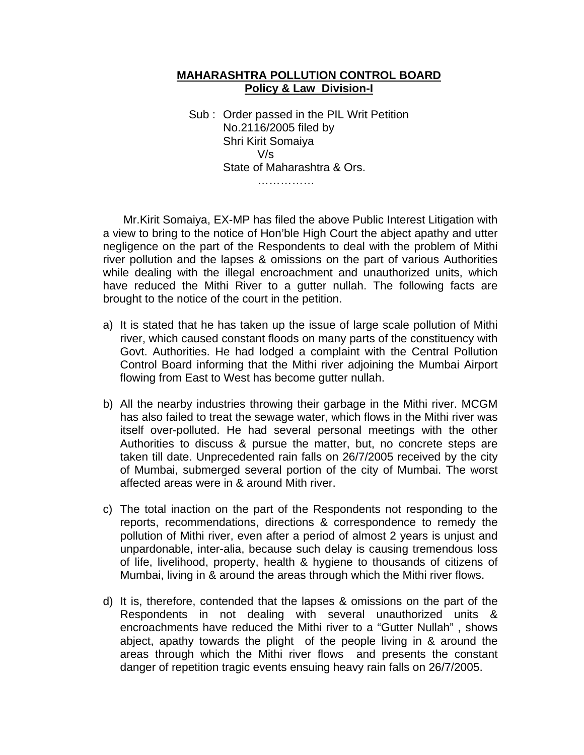## **MAHARASHTRA POLLUTION CONTROL BOARD Policy & Law Division-I**

 Sub : Order passed in the PIL Writ Petition No.2116/2005 filed by Shri Kirit Somaiya V/s State of Maharashtra & Ors. ……………

 Mr.Kirit Somaiya, EX-MP has filed the above Public Interest Litigation with a view to bring to the notice of Hon'ble High Court the abject apathy and utter negligence on the part of the Respondents to deal with the problem of Mithi river pollution and the lapses & omissions on the part of various Authorities while dealing with the illegal encroachment and unauthorized units, which have reduced the Mithi River to a gutter nullah. The following facts are brought to the notice of the court in the petition.

- a) It is stated that he has taken up the issue of large scale pollution of Mithi river, which caused constant floods on many parts of the constituency with Govt. Authorities. He had lodged a complaint with the Central Pollution Control Board informing that the Mithi river adjoining the Mumbai Airport flowing from East to West has become gutter nullah.
- b) All the nearby industries throwing their garbage in the Mithi river. MCGM has also failed to treat the sewage water, which flows in the Mithi river was itself over-polluted. He had several personal meetings with the other Authorities to discuss & pursue the matter, but, no concrete steps are taken till date. Unprecedented rain falls on 26/7/2005 received by the city of Mumbai, submerged several portion of the city of Mumbai. The worst affected areas were in & around Mith river.
- c) The total inaction on the part of the Respondents not responding to the reports, recommendations, directions & correspondence to remedy the pollution of Mithi river, even after a period of almost 2 years is unjust and unpardonable, inter-alia, because such delay is causing tremendous loss of life, livelihood, property, health & hygiene to thousands of citizens of Mumbai, living in & around the areas through which the Mithi river flows.
- d) It is, therefore, contended that the lapses & omissions on the part of the Respondents in not dealing with several unauthorized units & encroachments have reduced the Mithi river to a "Gutter Nullah" , shows abject, apathy towards the plight of the people living in & around the areas through which the Mithi river flows and presents the constant danger of repetition tragic events ensuing heavy rain falls on 26/7/2005.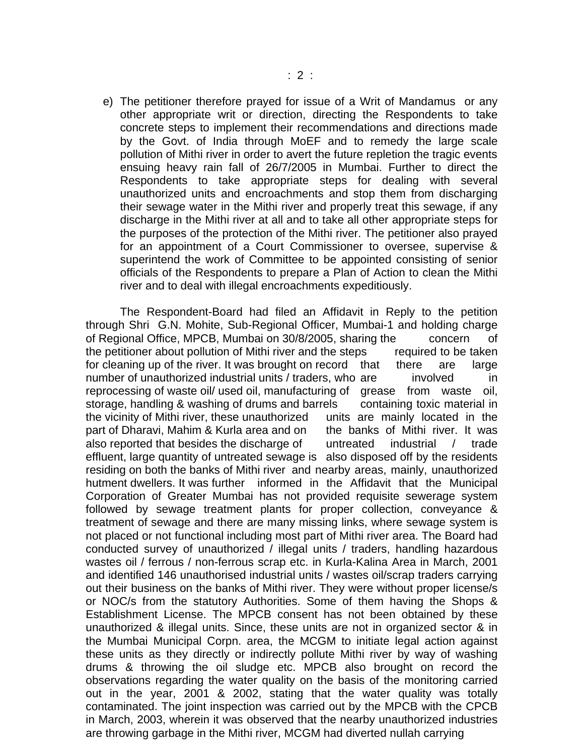e) The petitioner therefore prayed for issue of a Writ of Mandamus or any other appropriate writ or direction, directing the Respondents to take concrete steps to implement their recommendations and directions made by the Govt. of India through MoEF and to remedy the large scale pollution of Mithi river in order to avert the future repletion the tragic events ensuing heavy rain fall of 26/7/2005 in Mumbai. Further to direct the Respondents to take appropriate steps for dealing with several unauthorized units and encroachments and stop them from discharging their sewage water in the Mithi river and properly treat this sewage, if any discharge in the Mithi river at all and to take all other appropriate steps for the purposes of the protection of the Mithi river. The petitioner also prayed for an appointment of a Court Commissioner to oversee, supervise & superintend the work of Committee to be appointed consisting of senior officials of the Respondents to prepare a Plan of Action to clean the Mithi river and to deal with illegal encroachments expeditiously.

 The Respondent-Board had filed an Affidavit in Reply to the petition through Shri G.N. Mohite, Sub-Regional Officer, Mumbai-1 and holding charge of Regional Office, MPCB, Mumbai on 30/8/2005, sharing the concern of the petitioner about pollution of Mithi river and the steps required to be taken for cleaning up of the river. It was brought on record that there are large number of unauthorized industrial units / traders, who are involved in reprocessing of waste oil/ used oil, manufacturing of grease from waste oil, storage, handling & washing of drums and barrels containing toxic material in the vicinity of Mithi river, these unauthorized units are mainly located in the part of Dharavi, Mahim & Kurla area and on the banks of Mithi river. It was also reported that besides the discharge of untreated industrial / trade effluent, large quantity of untreated sewage is also disposed off by the residents residing on both the banks of Mithi river and nearby areas, mainly, unauthorized hutment dwellers. It was further informed in the Affidavit that the Municipal Corporation of Greater Mumbai has not provided requisite sewerage system followed by sewage treatment plants for proper collection, conveyance & treatment of sewage and there are many missing links, where sewage system is not placed or not functional including most part of Mithi river area. The Board had conducted survey of unauthorized / illegal units / traders, handling hazardous wastes oil / ferrous / non-ferrous scrap etc. in Kurla-Kalina Area in March, 2001 and identified 146 unauthorised industrial units / wastes oil/scrap traders carrying out their business on the banks of Mithi river. They were without proper license/s or NOC/s from the statutory Authorities. Some of them having the Shops & Establishment License. The MPCB consent has not been obtained by these unauthorized & illegal units. Since, these units are not in organized sector & in the Mumbai Municipal Corpn. area, the MCGM to initiate legal action against these units as they directly or indirectly pollute Mithi river by way of washing drums & throwing the oil sludge etc. MPCB also brought on record the observations regarding the water quality on the basis of the monitoring carried out in the year, 2001 & 2002, stating that the water quality was totally contaminated. The joint inspection was carried out by the MPCB with the CPCB in March, 2003, wherein it was observed that the nearby unauthorized industries are throwing garbage in the Mithi river, MCGM had diverted nullah carrying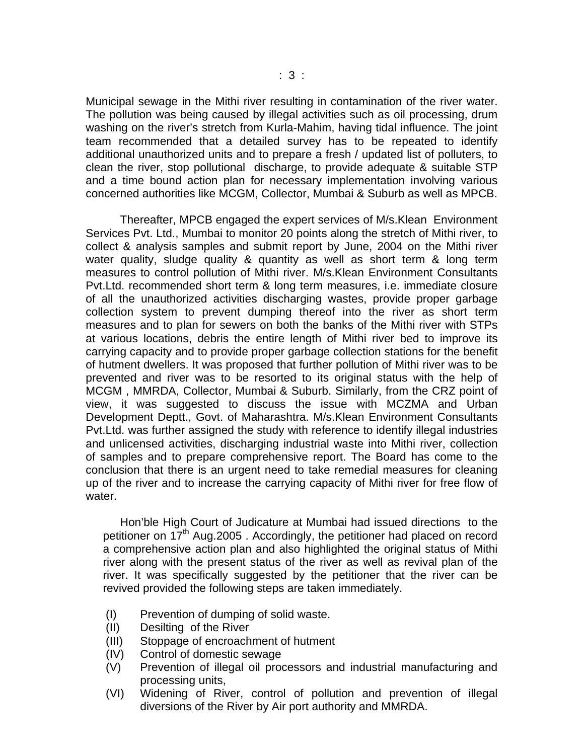Municipal sewage in the Mithi river resulting in contamination of the river water. The pollution was being caused by illegal activities such as oil processing, drum washing on the river's stretch from Kurla-Mahim, having tidal influence. The joint team recommended that a detailed survey has to be repeated to identify additional unauthorized units and to prepare a fresh / updated list of polluters, to clean the river, stop pollutional discharge, to provide adequate & suitable STP and a time bound action plan for necessary implementation involving various concerned authorities like MCGM, Collector, Mumbai & Suburb as well as MPCB.

 Thereafter, MPCB engaged the expert services of M/s.Klean Environment Services Pvt. Ltd., Mumbai to monitor 20 points along the stretch of Mithi river, to collect & analysis samples and submit report by June, 2004 on the Mithi river water quality, sludge quality & quantity as well as short term & long term measures to control pollution of Mithi river. M/s.Klean Environment Consultants Pvt.Ltd. recommended short term & long term measures, i.e. immediate closure of all the unauthorized activities discharging wastes, provide proper garbage collection system to prevent dumping thereof into the river as short term measures and to plan for sewers on both the banks of the Mithi river with STPs at various locations, debris the entire length of Mithi river bed to improve its carrying capacity and to provide proper garbage collection stations for the benefit of hutment dwellers. It was proposed that further pollution of Mithi river was to be prevented and river was to be resorted to its original status with the help of MCGM , MMRDA, Collector, Mumbai & Suburb. Similarly, from the CRZ point of view, it was suggested to discuss the issue with MCZMA and Urban Development Deptt., Govt. of Maharashtra. M/s.Klean Environment Consultants Pvt.Ltd. was further assigned the study with reference to identify illegal industries and unlicensed activities, discharging industrial waste into Mithi river, collection of samples and to prepare comprehensive report. The Board has come to the conclusion that there is an urgent need to take remedial measures for cleaning up of the river and to increase the carrying capacity of Mithi river for free flow of water.

 Hon'ble High Court of Judicature at Mumbai had issued directions to the petitioner on 17<sup>th</sup> Aug. 2005. Accordingly, the petitioner had placed on record a comprehensive action plan and also highlighted the original status of Mithi river along with the present status of the river as well as revival plan of the river. It was specifically suggested by the petitioner that the river can be revived provided the following steps are taken immediately.

- (I) Prevention of dumping of solid waste.
- (II) Desilting of the River
- (III) Stoppage of encroachment of hutment
- (IV) Control of domestic sewage
- (V) Prevention of illegal oil processors and industrial manufacturing and processing units,
- (VI) Widening of River, control of pollution and prevention of illegal diversions of the River by Air port authority and MMRDA.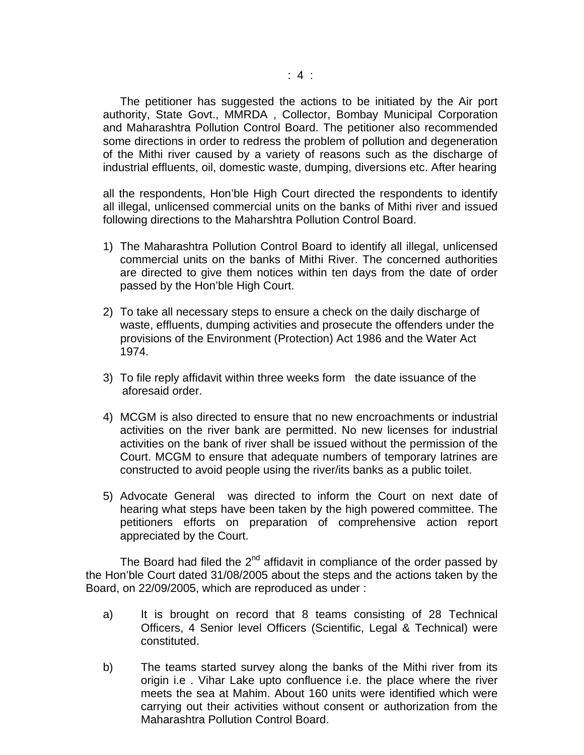The petitioner has suggested the actions to be initiated by the Air port authority, State Govt., MMRDA , Collector, Bombay Municipal Corporation and Maharashtra Pollution Control Board. The petitioner also recommended some directions in order to redress the problem of pollution and degeneration of the Mithi river caused by a variety of reasons such as the discharge of industrial effluents, oil, domestic waste, dumping, diversions etc. After hearing

all the respondents, Hon'ble High Court directed the respondents to identify all illegal, unlicensed commercial units on the banks of Mithi river and issued following directions to the Maharshtra Pollution Control Board.

- 1) The Maharashtra Pollution Control Board to identify all illegal, unlicensed commercial units on the banks of Mithi River. The concerned authorities are directed to give them notices within ten days from the date of order passed by the Hon'ble High Court.
- 2) To take all necessary steps to ensure a check on the daily discharge of waste, effluents, dumping activities and prosecute the offenders under the provisions of the Environment (Protection) Act 1986 and the Water Act 1974.
- 3) To file reply affidavit within three weeks form the date issuance of the aforesaid order.
- 4) MCGM is also directed to ensure that no new encroachments or industrial activities on the river bank are permitted. No new licenses for industrial activities on the bank of river shall be issued without the permission of the Court. MCGM to ensure that adequate numbers of temporary latrines are constructed to avoid people using the river/its banks as a public toilet.
- 5) Advocate General was directed to inform the Court on next date of hearing what steps have been taken by the high powered committee. The petitioners efforts on preparation of comprehensive action report appreciated by the Court.

The Board had filed the  $2^{nd}$  affidavit in compliance of the order passed by the Hon'ble Court dated 31/08/2005 about the steps and the actions taken by the Board, on 22/09/2005, which are reproduced as under :

- a) It is brought on record that 8 teams consisting of 28 Technical Officers, 4 Senior level Officers (Scientific, Legal & Technical) were constituted.
- b) The teams started survey along the banks of the Mithi river from its origin i.e . Vihar Lake upto confluence i.e. the place where the river meets the sea at Mahim. About 160 units were identified which were carrying out their activities without consent or authorization from the Maharashtra Pollution Control Board.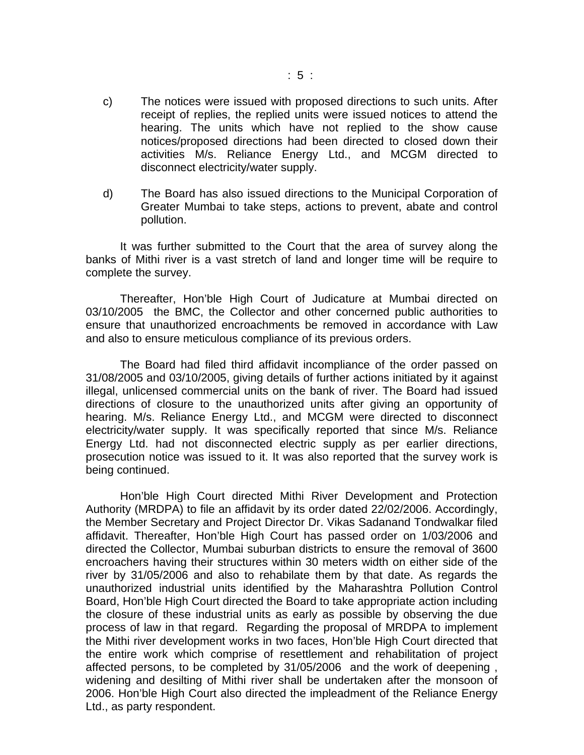- c) The notices were issued with proposed directions to such units. After receipt of replies, the replied units were issued notices to attend the hearing. The units which have not replied to the show cause notices/proposed directions had been directed to closed down their activities M/s. Reliance Energy Ltd., and MCGM directed to disconnect electricity/water supply.
- d) The Board has also issued directions to the Municipal Corporation of Greater Mumbai to take steps, actions to prevent, abate and control pollution.

 It was further submitted to the Court that the area of survey along the banks of Mithi river is a vast stretch of land and longer time will be require to complete the survey.

 Thereafter, Hon'ble High Court of Judicature at Mumbai directed on 03/10/2005 the BMC, the Collector and other concerned public authorities to ensure that unauthorized encroachments be removed in accordance with Law and also to ensure meticulous compliance of its previous orders.

 The Board had filed third affidavit incompliance of the order passed on 31/08/2005 and 03/10/2005, giving details of further actions initiated by it against illegal, unlicensed commercial units on the bank of river. The Board had issued directions of closure to the unauthorized units after giving an opportunity of hearing. M/s. Reliance Energy Ltd., and MCGM were directed to disconnect electricity/water supply. It was specifically reported that since M/s. Reliance Energy Ltd. had not disconnected electric supply as per earlier directions, prosecution notice was issued to it. It was also reported that the survey work is being continued.

 Hon'ble High Court directed Mithi River Development and Protection Authority (MRDPA) to file an affidavit by its order dated 22/02/2006. Accordingly, the Member Secretary and Project Director Dr. Vikas Sadanand Tondwalkar filed affidavit. Thereafter, Hon'ble High Court has passed order on 1/03/2006 and directed the Collector, Mumbai suburban districts to ensure the removal of 3600 encroachers having their structures within 30 meters width on either side of the river by 31/05/2006 and also to rehabilate them by that date. As regards the unauthorized industrial units identified by the Maharashtra Pollution Control Board, Hon'ble High Court directed the Board to take appropriate action including the closure of these industrial units as early as possible by observing the due process of law in that regard. Regarding the proposal of MRDPA to implement the Mithi river development works in two faces, Hon'ble High Court directed that the entire work which comprise of resettlement and rehabilitation of project affected persons, to be completed by 31/05/2006 and the work of deepening , widening and desilting of Mithi river shall be undertaken after the monsoon of 2006. Hon'ble High Court also directed the impleadment of the Reliance Energy Ltd., as party respondent.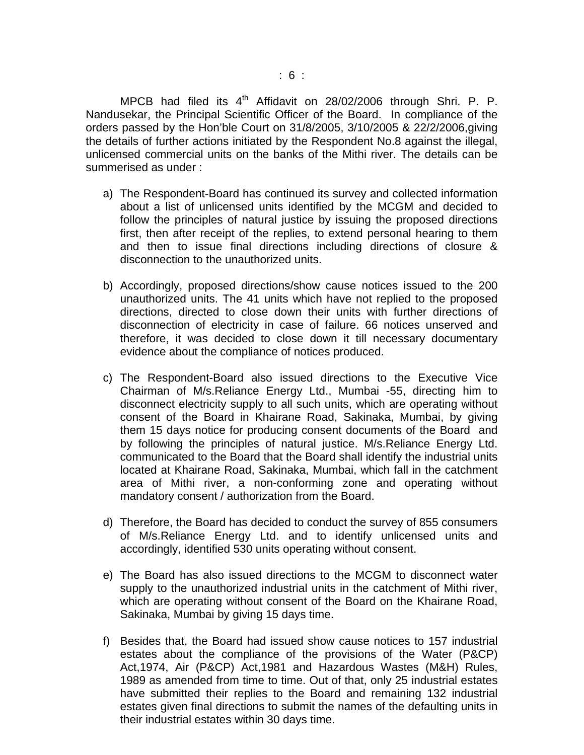MPCB had filed its  $4<sup>th</sup>$  Affidavit on 28/02/2006 through Shri. P. P. Nandusekar, the Principal Scientific Officer of the Board. In compliance of the orders passed by the Hon'ble Court on 31/8/2005, 3/10/2005 & 22/2/2006,giving the details of further actions initiated by the Respondent No.8 against the illegal, unlicensed commercial units on the banks of the Mithi river. The details can be summerised as under :

- a) The Respondent-Board has continued its survey and collected information about a list of unlicensed units identified by the MCGM and decided to follow the principles of natural justice by issuing the proposed directions first, then after receipt of the replies, to extend personal hearing to them and then to issue final directions including directions of closure & disconnection to the unauthorized units.
- b) Accordingly, proposed directions/show cause notices issued to the 200 unauthorized units. The 41 units which have not replied to the proposed directions, directed to close down their units with further directions of disconnection of electricity in case of failure. 66 notices unserved and therefore, it was decided to close down it till necessary documentary evidence about the compliance of notices produced.
- c) The Respondent-Board also issued directions to the Executive Vice Chairman of M/s.Reliance Energy Ltd., Mumbai -55, directing him to disconnect electricity supply to all such units, which are operating without consent of the Board in Khairane Road, Sakinaka, Mumbai, by giving them 15 days notice for producing consent documents of the Board and by following the principles of natural justice. M/s.Reliance Energy Ltd. communicated to the Board that the Board shall identify the industrial units located at Khairane Road, Sakinaka, Mumbai, which fall in the catchment area of Mithi river, a non-conforming zone and operating without mandatory consent / authorization from the Board.
- d) Therefore, the Board has decided to conduct the survey of 855 consumers of M/s.Reliance Energy Ltd. and to identify unlicensed units and accordingly, identified 530 units operating without consent.
- e) The Board has also issued directions to the MCGM to disconnect water supply to the unauthorized industrial units in the catchment of Mithi river, which are operating without consent of the Board on the Khairane Road, Sakinaka, Mumbai by giving 15 days time.
- f) Besides that, the Board had issued show cause notices to 157 industrial estates about the compliance of the provisions of the Water (P&CP) Act,1974, Air (P&CP) Act,1981 and Hazardous Wastes (M&H) Rules, 1989 as amended from time to time. Out of that, only 25 industrial estates have submitted their replies to the Board and remaining 132 industrial estates given final directions to submit the names of the defaulting units in their industrial estates within 30 days time.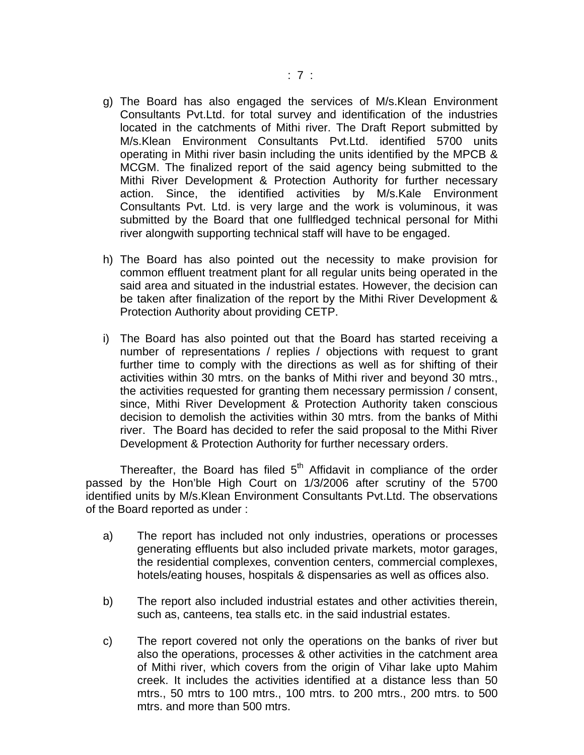- g) The Board has also engaged the services of M/s.Klean Environment Consultants Pvt.Ltd. for total survey and identification of the industries located in the catchments of Mithi river. The Draft Report submitted by M/s.Klean Environment Consultants Pvt.Ltd. identified 5700 units operating in Mithi river basin including the units identified by the MPCB & MCGM. The finalized report of the said agency being submitted to the Mithi River Development & Protection Authority for further necessary action. Since, the identified activities by M/s.Kale Environment Consultants Pvt. Ltd. is very large and the work is voluminous, it was submitted by the Board that one fullfledged technical personal for Mithi river alongwith supporting technical staff will have to be engaged.
- h) The Board has also pointed out the necessity to make provision for common effluent treatment plant for all regular units being operated in the said area and situated in the industrial estates. However, the decision can be taken after finalization of the report by the Mithi River Development & Protection Authority about providing CETP.
- i) The Board has also pointed out that the Board has started receiving a number of representations / replies / objections with request to grant further time to comply with the directions as well as for shifting of their activities within 30 mtrs. on the banks of Mithi river and beyond 30 mtrs., the activities requested for granting them necessary permission / consent, since, Mithi River Development & Protection Authority taken conscious decision to demolish the activities within 30 mtrs. from the banks of Mithi river. The Board has decided to refer the said proposal to the Mithi River Development & Protection Authority for further necessary orders.

Thereafter, the Board has filed  $5<sup>th</sup>$  Affidavit in compliance of the order passed by the Hon'ble High Court on 1/3/2006 after scrutiny of the 5700 identified units by M/s.Klean Environment Consultants Pvt.Ltd. The observations of the Board reported as under :

- a) The report has included not only industries, operations or processes generating effluents but also included private markets, motor garages, the residential complexes, convention centers, commercial complexes, hotels/eating houses, hospitals & dispensaries as well as offices also.
- b) The report also included industrial estates and other activities therein, such as, canteens, tea stalls etc. in the said industrial estates.
- c) The report covered not only the operations on the banks of river but also the operations, processes & other activities in the catchment area of Mithi river, which covers from the origin of Vihar lake upto Mahim creek. It includes the activities identified at a distance less than 50 mtrs., 50 mtrs to 100 mtrs., 100 mtrs. to 200 mtrs., 200 mtrs. to 500 mtrs. and more than 500 mtrs.